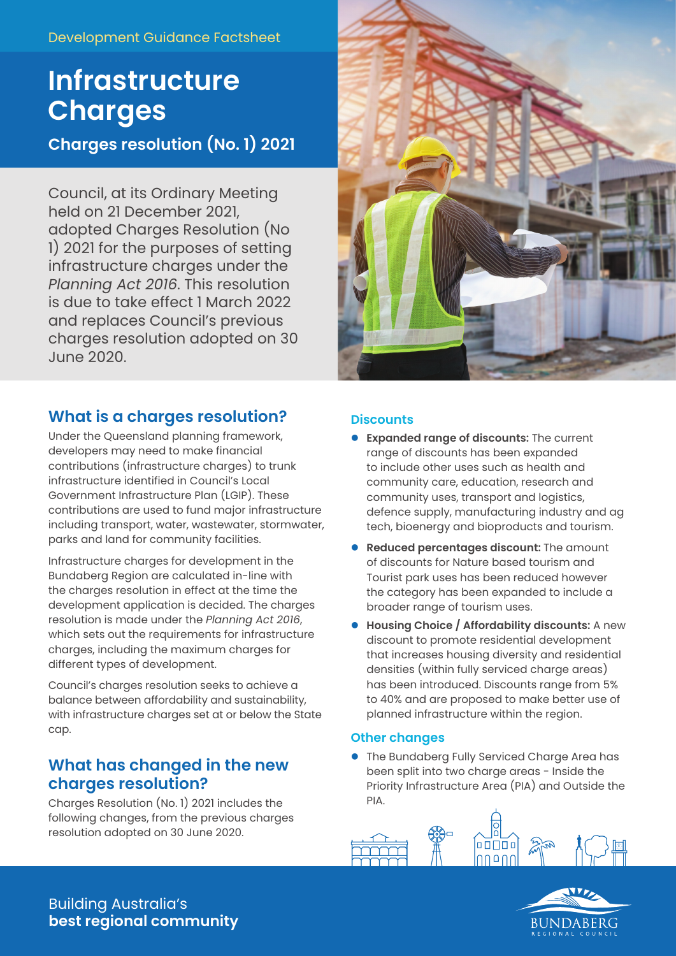### Development Guidance Factsheet

# **Infrastructure Charges**

**Charges resolution (No. 1) 2021**

Council, at its Ordinary Meeting held on 21 December 2021, adopted Charges Resolution (No 1) 2021 for the purposes of setting infrastructure charges under the *Planning Act 2016*. This resolution is due to take effect 1 March 2022 and replaces Council's previous charges resolution adopted on 30 June 2020.



## **What is a charges resolution?**

Under the Queensland planning framework, developers may need to make financial contributions (infrastructure charges) to trunk infrastructure identified in Council's Local Government Infrastructure Plan (LGIP). These contributions are used to fund major infrastructure including transport, water, wastewater, stormwater, parks and land for community facilities.

Infrastructure charges for development in the Bundaberg Region are calculated in-line with the charges resolution in effect at the time the development application is decided. The charges resolution is made under the *Planning Act 2016*, which sets out the requirements for infrastructure charges, including the maximum charges for different types of development.

Council's charges resolution seeks to achieve a balance between affordability and sustainability, with infrastructure charges set at or below the State cap.

## **What has changed in the new charges resolution?**

Charges Resolution (No. 1) 2021 includes the following changes, from the previous charges resolution adopted on 30 June 2020.

#### **Discounts**

- **Expanded range of discounts:** The current range of discounts has been expanded to include other uses such as health and community care, education, research and community uses, transport and logistics, defence supply, manufacturing industry and ag tech, bioenergy and bioproducts and tourism.
- **Reduced percentages discount:** The amount of discounts for Nature based tourism and Tourist park uses has been reduced however the category has been expanded to include a broader range of tourism uses.
- **Housing Choice / Affordability discounts:** A new discount to promote residential development that increases housing diversity and residential densities (within fully serviced charge areas) has been introduced. Discounts range from 5% to 40% and are proposed to make better use of planned infrastructure within the region.

#### **Other changes**

**.** The Bundaberg Fully Serviced Charge Area has been split into two charge areas - Inside the Priority Infrastructure Area (PIA) and Outside the PIA.





Building Australia's **best regional community**